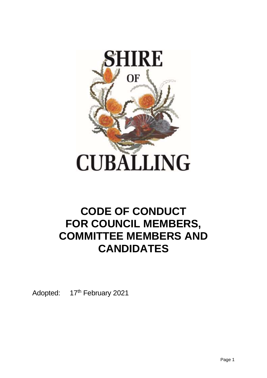

# **CODE OF CONDUCT FOR COUNCIL MEMBERS, COMMITTEE MEMBERS AND CANDIDATES**

Adopted: 17<sup>th</sup> February 2021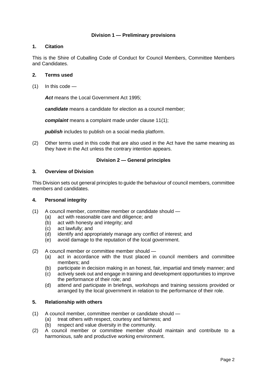## **Division 1 — Preliminary provisions**

## **1. Citation**

This is the Shire of Cuballing Code of Conduct for Council Members, Committee Members and Candidates.

## **2. Terms used**

 $(1)$  In this code —

*Act* means the Local Government Act 1995;

*candidate* means a candidate for election as a council member;

*complaint* means a complaint made under clause 11(1);

*publish* includes to publish on a social media platform.

(2) Other terms used in this code that are also used in the Act have the same meaning as they have in the Act unless the contrary intention appears.

## **Division 2 — General principles**

#### **3. Overview of Division**

This Division sets out general principles to guide the behaviour of council members, committee members and candidates.

## **4. Personal integrity**

- (1) A council member, committee member or candidate should
	- (a) act with reasonable care and diligence; and
	- (b) act with honesty and integrity; and
	- (c) act lawfully; and
	- (d) identify and appropriately manage any conflict of interest; and
	- (e) avoid damage to the reputation of the local government.

(2) A council member or committee member should —

- (a) act in accordance with the trust placed in council members and committee members; and
- (b) participate in decision making in an honest, fair, impartial and timely manner; and
- (c) actively seek out and engage in training and development opportunities to improve the performance of their role; and
- (d) attend and participate in briefings, workshops and training sessions provided or arranged by the local government in relation to the performance of their role.

# **5. Relationship with others**

- (1) A council member, committee member or candidate should
	- (a) treat others with respect, courtesy and fairness; and (b) respect and value diversity in the community.
		- respect and value diversity in the community.
- (2) A council member or committee member should maintain and contribute to a harmonious, safe and productive working environment.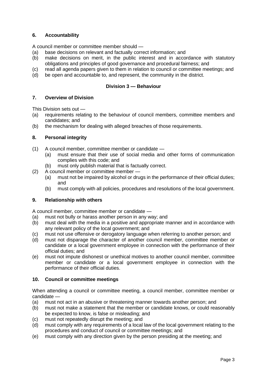# **6. Accountability**

A council member or committee member should —

- (a) base decisions on relevant and factually correct information; and
- (b) make decisions on merit, in the public interest and in accordance with statutory obligations and principles of good governance and procedural fairness; and
- (c) read all agenda papers given to them in relation to council or committee meetings; and
- (d) be open and accountable to, and represent, the community in the district.

# **Division 3 — Behaviour**

# **7. Overview of Division**

This Division sets out —

- (a) requirements relating to the behaviour of council members, committee members and candidates; and
- (b) the mechanism for dealing with alleged breaches of those requirements.

# **8. Personal integrity**

- (1) A council member, committee member or candidate
	- (a) must ensure that their use of social media and other forms of communication complies with this code; and
	- (b) must only publish material that is factually correct.
- (2) A council member or committee member
	- (a) must not be impaired by alcohol or drugs in the performance of their official duties; and
	- (b) must comply with all policies, procedures and resolutions of the local government.

# **9. Relationship with others**

A council member, committee member or candidate —

- (a) must not bully or harass another person in any way; and
- (b) must deal with the media in a positive and appropriate manner and in accordance with any relevant policy of the local government; and
- (c) must not use offensive or derogatory language when referring to another person; and
- (d) must not disparage the character of another council member, committee member or candidate or a local government employee in connection with the performance of their official duties; and
- (e) must not impute dishonest or unethical motives to another council member, committee member or candidate or a local government employee in connection with the performance of their official duties.

## **10. Council or committee meetings**

When attending a council or committee meeting, a council member, committee member or candidate —

- (a) must not act in an abusive or threatening manner towards another person; and
- (b) must not make a statement that the member or candidate knows, or could reasonably be expected to know, is false or misleading; and
- (c) must not repeatedly disrupt the meeting; and
- (d) must comply with any requirements of a local law of the local government relating to the procedures and conduct of council or committee meetings; and
- (e) must comply with any direction given by the person presiding at the meeting; and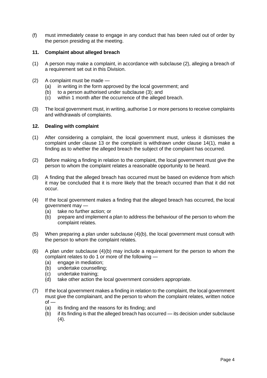(f) must immediately cease to engage in any conduct that has been ruled out of order by the person presiding at the meeting.

## **11. Complaint about alleged breach**

- (1) A person may make a complaint, in accordance with subclause (2), alleging a breach of a requirement set out in this Division.
- (2) A complaint must be made
	- (a) in writing in the form approved by the local government; and
	- (b) to a person authorised under subclause (3); and
	- (c) within 1 month after the occurrence of the alleged breach.
- (3) The local government must, in writing, authorise 1 or more persons to receive complaints and withdrawals of complaints.

### **12. Dealing with complaint**

- (1) After considering a complaint, the local government must, unless it dismisses the complaint under clause 13 or the complaint is withdrawn under clause 14(1), make a finding as to whether the alleged breach the subject of the complaint has occurred.
- (2) Before making a finding in relation to the complaint, the local government must give the person to whom the complaint relates a reasonable opportunity to be heard.
- (3) A finding that the alleged breach has occurred must be based on evidence from which it may be concluded that it is more likely that the breach occurred than that it did not occur.
- (4) If the local government makes a finding that the alleged breach has occurred, the local government may —
	- (a) take no further action; or
	- (b) prepare and implement a plan to address the behaviour of the person to whom the complaint relates.
- (5) When preparing a plan under subclause (4)(b), the local government must consult with the person to whom the complaint relates.
- (6) A plan under subclause (4)(b) may include a requirement for the person to whom the complaint relates to do 1 or more of the following —
	- (a) engage in mediation;
	- (b) undertake counselling;
	- (c) undertake training;
	- (d) take other action the local government considers appropriate.
- (7) If the local government makes a finding in relation to the complaint, the local government must give the complainant, and the person to whom the complaint relates, written notice  $of -$ 
	- (a) its finding and the reasons for its finding; and
	- (b) if its finding is that the alleged breach has occurred its decision under subclause (4).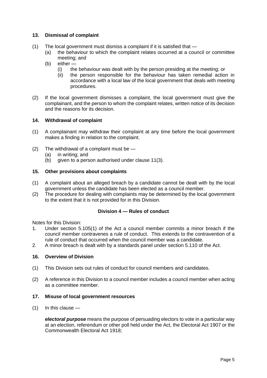## **13. Dismissal of complaint**

- (1) The local government must dismiss a complaint if it is satisfied that
	- (a) the behaviour to which the complaint relates occurred at a council or committee meeting; and
	- (b) either
		- (i) the behaviour was dealt with by the person presiding at the meeting; or
		- (ii) the person responsible for the behaviour has taken remedial action in accordance with a local law of the local government that deals with meeting procedures.
- (2) If the local government dismisses a complaint, the local government must give the complainant, and the person to whom the complaint relates, written notice of its decision and the reasons for its decision.

## **14. Withdrawal of complaint**

- (1) A complainant may withdraw their complaint at any time before the local government makes a finding in relation to the complaint.
- (2) The withdrawal of a complaint must be
	- (a) in writing; and
	- (b) given to a person authorised under clause 11(3).

### **15. Other provisions about complaints**

- (1) A complaint about an alleged breach by a candidate cannot be dealt with by the local government unless the candidate has been elected as a council member.
- (2) The procedure for dealing with complaints may be determined by the local government to the extent that it is not provided for in this Division.

## **Division 4 — Rules of conduct**

Notes for this Division:

- 1. Under section 5.105(1) of the Act a council member commits a minor breach if the council member contravenes a rule of conduct. This extends to the contravention of a rule of conduct that occurred when the council member was a candidate.
- 2. A minor breach is dealt with by a standards panel under section 5.110 of the Act.

#### **16. Overview of Division**

- (1) This Division sets out rules of conduct for council members and candidates.
- (2) A reference in this Division to a council member includes a council member when acting as a committee member.

#### **17. Misuse of local government resources**

(1) In this clause —

*electoral purpose* means the purpose of persuading electors to vote in a particular way at an election, referendum or other poll held under the Act, the Electoral Act 1907 or the Commonwealth Electoral Act 1918;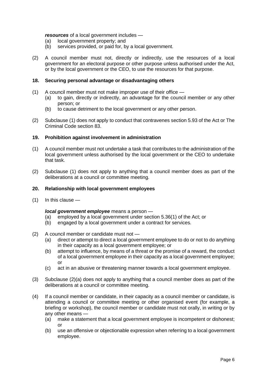## *resources* of a local government includes —

- (a) local government property; and
- (b) services provided, or paid for, by a local government.
- (2) A council member must not, directly or indirectly, use the resources of a local government for an electoral purpose or other purpose unless authorised under the Act, or by the local government or the CEO, to use the resources for that purpose.

#### **18. Securing personal advantage or disadvantaging others**

- (1) A council member must not make improper use of their office
	- (a) to gain, directly or indirectly, an advantage for the council member or any other person; or
	- (b) to cause detriment to the local government or any other person.
- (2) Subclause (1) does not apply to conduct that contravenes section 5.93 of the Act or The Criminal Code section 83.

### **19. Prohibition against involvement in administration**

- (1) A council member must not undertake a task that contributes to the administration of the local government unless authorised by the local government or the CEO to undertake that task.
- (2) Subclause (1) does not apply to anything that a council member does as part of the deliberations at a council or committee meeting.

#### **20. Relationship with local government employees**

(1) In this clause —

#### *local government employee* means a person —

- (a) employed by a local government under section 5.36(1) of the Act; or
- (b) engaged by a local government under a contract for services.
- (2) A council member or candidate must not
	- (a) direct or attempt to direct a local government employee to do or not to do anything in their capacity as a local government employee; or
	- (b) attempt to influence, by means of a threat or the promise of a reward, the conduct of a local government employee in their capacity as a local government employee; or
	- (c) act in an abusive or threatening manner towards a local government employee.
- (3) Subclause (2)(a) does not apply to anything that a council member does as part of the deliberations at a council or committee meeting.
- (4) If a council member or candidate, in their capacity as a council member or candidate, is attending a council or committee meeting or other organised event (for example, a briefing or workshop), the council member or candidate must not orally, in writing or by any other means —
	- (a) make a statement that a local government employee is incompetent or dishonest; or
	- (b) use an offensive or objectionable expression when referring to a local government employee.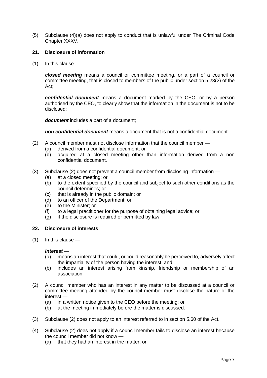(5) Subclause (4)(a) does not apply to conduct that is unlawful under The Criminal Code Chapter XXXV.

## **21. Disclosure of information**

(1) In this clause —

*closed meeting* means a council or committee meeting, or a part of a council or committee meeting, that is closed to members of the public under section 5.23(2) of the Act;

*confidential document* means a document marked by the CEO, or by a person authorised by the CEO, to clearly show that the information in the document is not to be disclosed;

*document* includes a part of a document;

*non confidential document* means a document that is not a confidential document.

- (2) A council member must not disclose information that the council member
	- (a) derived from a confidential document; or
	- (b) acquired at a closed meeting other than information derived from a non confidential document.
- (3) Subclause (2) does not prevent a council member from disclosing information
	- (a) at a closed meeting; or
	- (b) to the extent specified by the council and subject to such other conditions as the council determines; or
	- (c) that is already in the public domain; or
	- (d) to an officer of the Department; or
	- (e) to the Minister; or
	- (f) to a legal practitioner for the purpose of obtaining legal advice; or
	- (g) if the disclosure is required or permitted by law.

### **22. Disclosure of interests**

(1) In this clause —

#### *interest* —

- (a) means an interest that could, or could reasonably be perceived to, adversely affect the impartiality of the person having the interest; and
- (b) includes an interest arising from kinship, friendship or membership of an association.
- (2) A council member who has an interest in any matter to be discussed at a council or committee meeting attended by the council member must disclose the nature of the interest —
	- (a) in a written notice given to the CEO before the meeting; or
	- (b) at the meeting immediately before the matter is discussed.
- (3) Subclause (2) does not apply to an interest referred to in section 5.60 of the Act.
- (4) Subclause (2) does not apply if a council member fails to disclose an interest because the council member did not know —
	- (a) that they had an interest in the matter; or